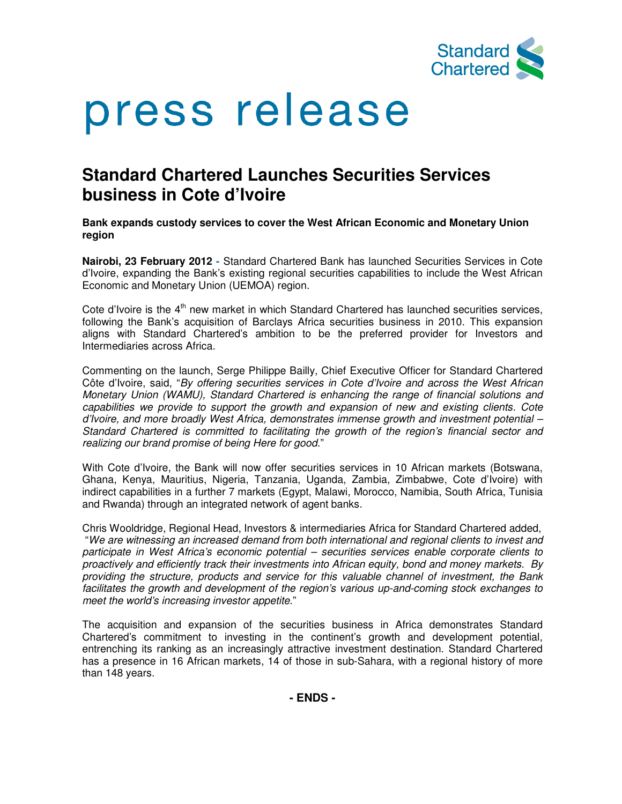

# press release

## **Standard Chartered Launches Securities Services business in Cote d'Ivoire**

**Bank expands custody services to cover the West African Economic and Monetary Union region**

**Nairobi, 23 February 2012 -** Standard Chartered Bank has launched Securities Services in Cote d'Ivoire, expanding the Bank's existing regional securities capabilities to include the West African Economic and Monetary Union (UEMOA) region.

Cote d'Ivoire is the 4<sup>th</sup> new market in which Standard Chartered has launched securities services, following the Bank's acquisition of Barclays Africa securities business in 2010. This expansion aligns with Standard Chartered's ambition to be the preferred provider for Investors and Intermediaries across Africa.

Commenting on the launch, Serge Philippe Bailly, Chief Executive Officer for Standard Chartered Côte d'Ivoire, said, "By offering securities services in Cote d'Ivoire and across the West African Monetary Union (WAMU), Standard Chartered is enhancing the range of financial solutions and capabilities we provide to support the growth and expansion of new and existing clients. Cote d'Ivoire, and more broadly West Africa, demonstrates immense growth and investment potential – Standard Chartered is committed to facilitating the growth of the region's financial sector and realizing our brand promise of being Here for good."

With Cote d'Ivoire, the Bank will now offer securities services in 10 African markets (Botswana, Ghana, Kenya, Mauritius, Nigeria, Tanzania, Uganda, Zambia, Zimbabwe, Cote d'Ivoire) with indirect capabilities in a further 7 markets (Egypt, Malawi, Morocco, Namibia, South Africa, Tunisia and Rwanda) through an integrated network of agent banks.

Chris Wooldridge, Regional Head, Investors & intermediaries Africa for Standard Chartered added, "We are witnessing an increased demand from both international and regional clients to invest and participate in West Africa's economic potential – securities services enable corporate clients to proactively and efficiently track their investments into African equity, bond and money markets. By providing the structure, products and service for this valuable channel of investment, the Bank facilitates the growth and development of the region's various up-and-coming stock exchanges to meet the world's increasing investor appetite."

The acquisition and expansion of the securities business in Africa demonstrates Standard Chartered's commitment to investing in the continent's growth and development potential, entrenching its ranking as an increasingly attractive investment destination. Standard Chartered has a presence in 16 African markets, 14 of those in sub-Sahara, with a regional history of more than 148 years.

**- ENDS -**